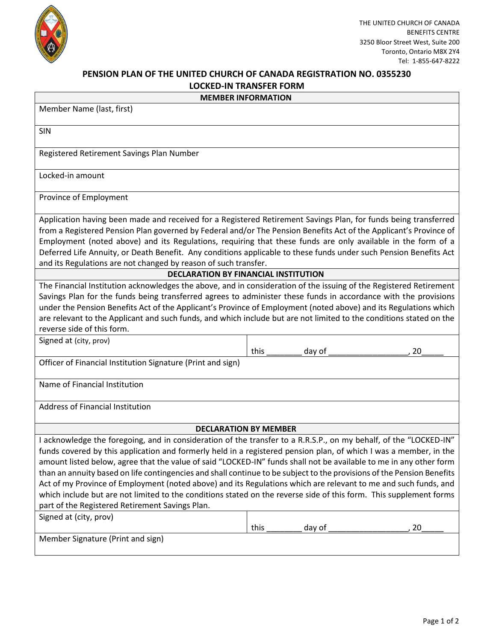

## **PENSION PLAN OF THE UNITED CHURCH OF CANADA REGISTRATION NO. 0355230 LOCKED-IN TRANSFER FORM**

| _ __ _                    |  |  |  |  |
|---------------------------|--|--|--|--|
| <b>MEMBER INFORMATION</b> |  |  |  |  |

| <b>MEMBER INFORMATION</b>                                                                                                                                                                                                                                                                                                                                                                                                                                                                                                                                                                                                                                                                                                                                                          |      |        |    |  |  |  |  |  |
|------------------------------------------------------------------------------------------------------------------------------------------------------------------------------------------------------------------------------------------------------------------------------------------------------------------------------------------------------------------------------------------------------------------------------------------------------------------------------------------------------------------------------------------------------------------------------------------------------------------------------------------------------------------------------------------------------------------------------------------------------------------------------------|------|--------|----|--|--|--|--|--|
| Member Name (last, first)                                                                                                                                                                                                                                                                                                                                                                                                                                                                                                                                                                                                                                                                                                                                                          |      |        |    |  |  |  |  |  |
| SIN                                                                                                                                                                                                                                                                                                                                                                                                                                                                                                                                                                                                                                                                                                                                                                                |      |        |    |  |  |  |  |  |
| Registered Retirement Savings Plan Number                                                                                                                                                                                                                                                                                                                                                                                                                                                                                                                                                                                                                                                                                                                                          |      |        |    |  |  |  |  |  |
| Locked-in amount                                                                                                                                                                                                                                                                                                                                                                                                                                                                                                                                                                                                                                                                                                                                                                   |      |        |    |  |  |  |  |  |
| Province of Employment                                                                                                                                                                                                                                                                                                                                                                                                                                                                                                                                                                                                                                                                                                                                                             |      |        |    |  |  |  |  |  |
| Application having been made and received for a Registered Retirement Savings Plan, for funds being transferred<br>from a Registered Pension Plan governed by Federal and/or The Pension Benefits Act of the Applicant's Province of<br>Employment (noted above) and its Regulations, requiring that these funds are only available in the form of a<br>Deferred Life Annuity, or Death Benefit. Any conditions applicable to these funds under such Pension Benefits Act<br>and its Regulations are not changed by reason of such transfer.                                                                                                                                                                                                                                       |      |        |    |  |  |  |  |  |
| <b>DECLARATION BY FINANCIAL INSTITUTION</b>                                                                                                                                                                                                                                                                                                                                                                                                                                                                                                                                                                                                                                                                                                                                        |      |        |    |  |  |  |  |  |
| The Financial Institution acknowledges the above, and in consideration of the issuing of the Registered Retirement<br>Savings Plan for the funds being transferred agrees to administer these funds in accordance with the provisions<br>under the Pension Benefits Act of the Applicant's Province of Employment (noted above) and its Regulations which<br>are relevant to the Applicant and such funds, and which include but are not limited to the conditions stated on the<br>reverse side of this form.<br>Signed at (city, prov)                                                                                                                                                                                                                                           |      |        |    |  |  |  |  |  |
|                                                                                                                                                                                                                                                                                                                                                                                                                                                                                                                                                                                                                                                                                                                                                                                    | this | day of | 20 |  |  |  |  |  |
| Officer of Financial Institution Signature (Print and sign)                                                                                                                                                                                                                                                                                                                                                                                                                                                                                                                                                                                                                                                                                                                        |      |        |    |  |  |  |  |  |
| Name of Financial Institution                                                                                                                                                                                                                                                                                                                                                                                                                                                                                                                                                                                                                                                                                                                                                      |      |        |    |  |  |  |  |  |
| Address of Financial Institution                                                                                                                                                                                                                                                                                                                                                                                                                                                                                                                                                                                                                                                                                                                                                   |      |        |    |  |  |  |  |  |
| <b>DECLARATION BY MEMBER</b>                                                                                                                                                                                                                                                                                                                                                                                                                                                                                                                                                                                                                                                                                                                                                       |      |        |    |  |  |  |  |  |
| I acknowledge the foregoing, and in consideration of the transfer to a R.R.S.P., on my behalf, of the "LOCKED-IN"<br>funds covered by this application and formerly held in a registered pension plan, of which I was a member, in the<br>amount listed below, agree that the value of said "LOCKED-IN" funds shall not be available to me in any other form<br>than an annuity based on life contingencies and shall continue to be subject to the provisions of the Pension Benefits<br>Act of my Province of Employment (noted above) and its Regulations which are relevant to me and such funds, and<br>which include but are not limited to the conditions stated on the reverse side of this form. This supplement forms<br>part of the Registered Retirement Savings Plan. |      |        |    |  |  |  |  |  |
| Signed at (city, prov)                                                                                                                                                                                                                                                                                                                                                                                                                                                                                                                                                                                                                                                                                                                                                             |      |        |    |  |  |  |  |  |
|                                                                                                                                                                                                                                                                                                                                                                                                                                                                                                                                                                                                                                                                                                                                                                                    | this | day of | 20 |  |  |  |  |  |
| Member Signature (Print and sign)                                                                                                                                                                                                                                                                                                                                                                                                                                                                                                                                                                                                                                                                                                                                                  |      |        |    |  |  |  |  |  |